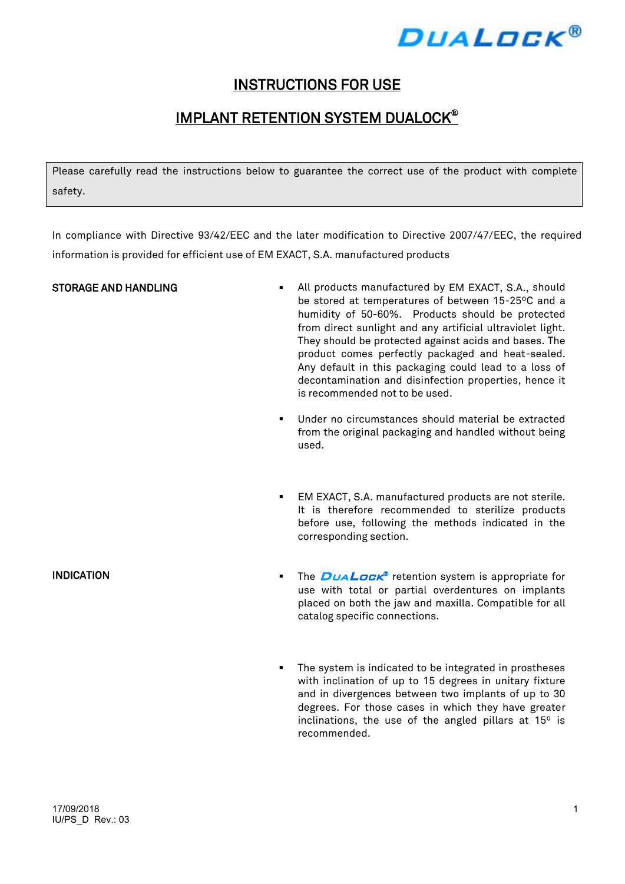

## INSTRUCTIONS FOR USE

# IMPLANT RETENTION SYSTEM DUALOCK®

Please carefully read the instructions below to guarantee the correct use of the product with complete safety.

In compliance with Directive 93/42/EEC and the later modification to Directive 2007/47/EEC, the required information is provided for efficient use of EM EXACT, S.A. manufactured products

- STORAGE AND HANDLING **All products manufactured by EM EXACT**, S.A., should be stored at temperatures of between 15-25ºC and a humidity of 50-60%. Products should be protected from direct sunlight and any artificial ultraviolet light. They should be protected against acids and bases. The product comes perfectly packaged and heat-sealed. Any default in this packaging could lead to a loss of decontamination and disinfection properties, hence it is recommended not to be used.
	- Under no circumstances should material be extracted from the original packaging and handled without being used.
	- EM EXACT, S.A. manufactured products are not sterile. It is therefore recommended to sterilize products before use, following the methods indicated in the corresponding section.
- **INDICATION EXECUTE:** The  $D \cup A \cup D \subset \mathbb{R}^n$  retention system is appropriate for use with total or partial overdentures on implants placed on both the jaw and maxilla. Compatible for all catalog specific connections.
	- **The system is indicated to be integrated in prostheses** with inclination of up to 15 degrees in unitary fixture and in divergences between two implants of up to 30 degrees. For those cases in which they have greater inclinations, the use of the angled pillars at 15º is recommended.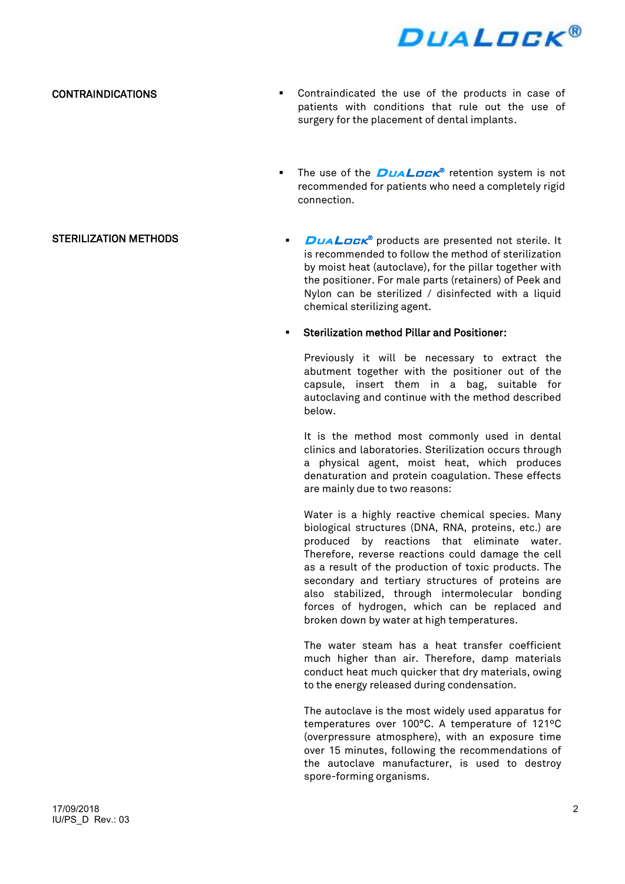

#### CONTRAINDICATIONS

- Contraindicated the use of the products in case of patients with conditions that rule out the use of surgery for the placement of dental implants.
- The use of the  $DUAL$  retention system is not recommended for patients who need a completely rigid connection.
- STERILIZATION METHODS **DUAL CONTROL DUALOCK<sup>®</sup>** products are presented not sterile. It is recommended to follow the method of sterilization by moist heat (autoclave), for the pillar together with the positioner. For male parts (retainers) of Peek and Nylon can be sterilized / disinfected with a liquid chemical sterilizing agent.

#### Sterilization method Pillar and Positioner:

Previously it will be necessary to extract the abutment together with the positioner out of the capsule, insert them in a bag, suitable for autoclaving and continue with the method described below.

It is the method most commonly used in dental clinics and laboratories. Sterilization occurs through a physical agent, moist heat, which produces denaturation and protein coagulation. These effects are mainly due to two reasons:

Water is a highly reactive chemical species. Many biological structures (DNA, RNA, proteins, etc.) are produced by reactions that eliminate water. Therefore, reverse reactions could damage the cell as a result of the production of toxic products. The secondary and tertiary structures of proteins are also stabilized, through intermolecular bonding forces of hydrogen, which can be replaced and broken down by water at high temperatures.

The water steam has a heat transfer coefficient much higher than air. Therefore, damp materials conduct heat much quicker that dry materials, owing to the energy released during condensation.

The autoclave is the most widely used apparatus for temperatures over 100°C. A temperature of 121ºC (overpressure atmosphere), with an exposure time over 15 minutes, following the recommendations of the autoclave manufacturer, is used to destroy spore-forming organisms.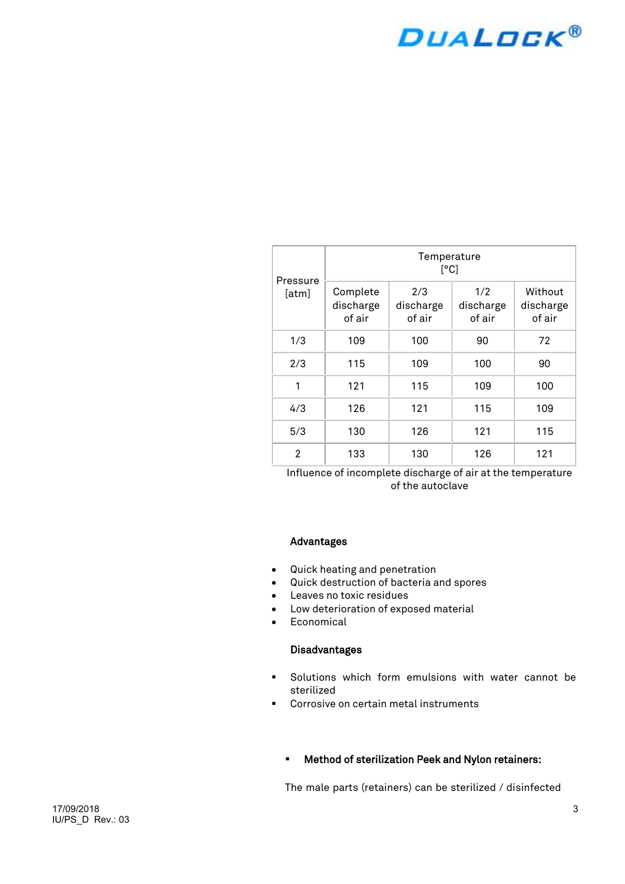# **DUALDCK®**

|                   | Temperature<br>[°C]             |                            |                            |                                |  |
|-------------------|---------------------------------|----------------------------|----------------------------|--------------------------------|--|
| Pressure<br>[atm] | Complete<br>discharge<br>of air | 2/3<br>discharge<br>of air | 1/2<br>discharge<br>of air | Without<br>discharge<br>of air |  |
| 1/3               | 109                             | 100                        | 90                         | 72                             |  |
| 2/3               | 115                             | 109                        | 100                        | 90                             |  |
| 1                 | 121                             | 115                        | 109                        | 100                            |  |
| 4/3               | 126                             | 121                        | 115                        | 109                            |  |
| 5/3               | 130                             | 126                        | 121                        | 115                            |  |
| $\mathfrak{p}$    | 133                             | 130                        | 126                        | 121                            |  |

Influence of incomplete discharge of air at the temperature of the autoclave

#### Advantages

- Quick heating and penetration
- Quick destruction of bacteria and spores
- Leaves no toxic residues
- Low deterioration of exposed material
- Economical

#### Disadvantages

- Solutions which form emulsions with water cannot be sterilized
- **Corrosive on certain metal instruments**

#### Method of sterilization Peek and Nylon retainers:

The male parts (retainers) can be sterilized / disinfected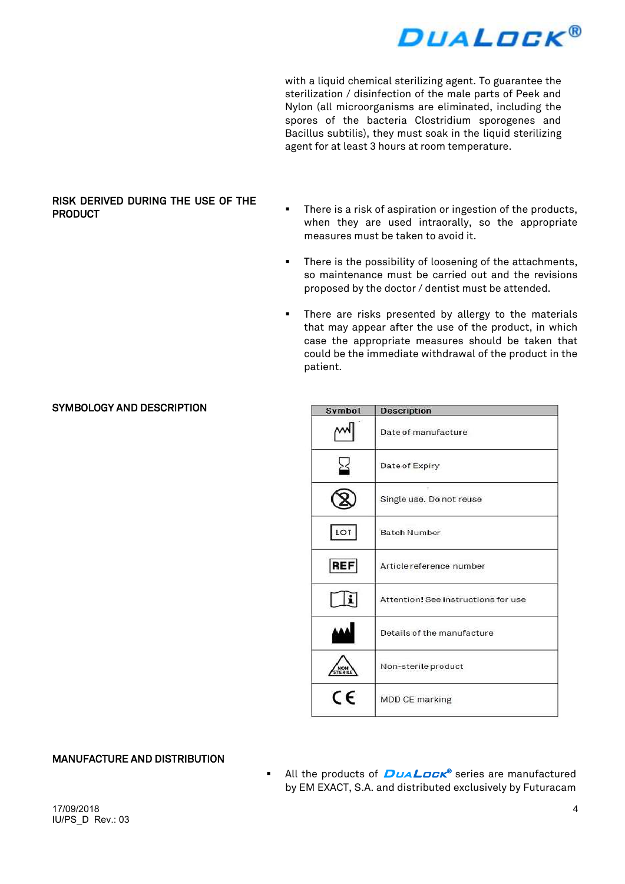

with a liquid chemical sterilizing agent. To guarantee the sterilization / disinfection of the male parts of Peek and Nylon (all microorganisms are eliminated, including the spores of the bacteria Clostridium sporogenes and Bacillus subtilis), they must soak in the liquid sterilizing agent for at least 3 hours at room temperature.

#### RISK DERIVED DURING THE USE OF THE **PRODUCT**

- There is a risk of aspiration or ingestion of the products, when they are used intraorally, so the appropriate measures must be taken to avoid it.
- **There is the possibility of loosening of the attachments,** so maintenance must be carried out and the revisions proposed by the doctor / dentist must be attended.
- **There are risks presented by allergy to the materials** that may appear after the use of the product, in which case the appropriate measures should be taken that could be the immediate withdrawal of the product in the patient.

|  | <b>SYMBOLOGY AND DESCRIPTION</b> |
|--|----------------------------------|
|--|----------------------------------|

| Symbol     | <b>Description</b>                  |  |
|------------|-------------------------------------|--|
|            | Date of manufacture                 |  |
|            | Date of Expiry                      |  |
|            | Single use. Do not reuse            |  |
| LOT        | <b>Batch Number</b>                 |  |
| <b>REF</b> | Article reference number            |  |
|            | Attention! See instructions for use |  |
|            | Details of the manufacture          |  |
|            | Non-sterile product                 |  |
| CE         | <b>MDD CE marking</b>               |  |

### MANUFACTURE AND DISTRIBUTION

**All the products of** *DuaLock***®** series are manufactured by EM EXACT, S.A. and distributed exclusively by Futuracam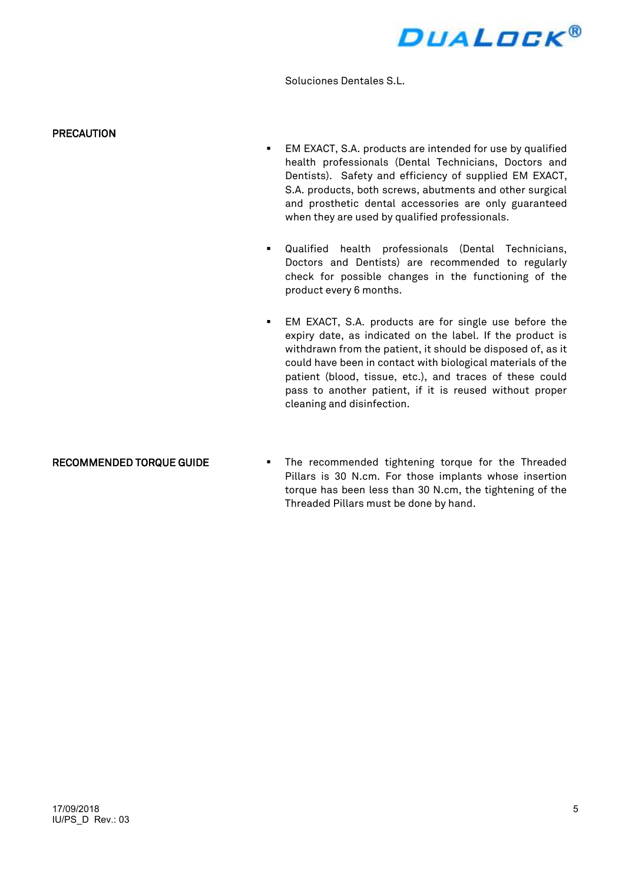

Soluciones Dentales S.L.

#### **PRECAUTION**

- EM EXACT, S.A. products are intended for use by qualified health professionals (Dental Technicians, Doctors and Dentists). Safety and efficiency of supplied EM EXACT, S.A. products, both screws, abutments and other surgical and prosthetic dental accessories are only guaranteed when they are used by qualified professionals.
- Qualified health professionals (Dental Technicians, Doctors and Dentists) are recommended to regularly check for possible changes in the functioning of the product every 6 months.
- EM EXACT, S.A. products are for single use before the expiry date, as indicated on the label. If the product is withdrawn from the patient, it should be disposed of, as it could have been in contact with biological materials of the patient (blood, tissue, etc.), and traces of these could pass to another patient, if it is reused without proper cleaning and disinfection.

RECOMMENDED TORQUE GUIDE **The recommended tightening torque for the Threaded** Pillars is 30 N.cm. For those implants whose insertion torque has been less than 30 N.cm, the tightening of the Threaded Pillars must be done by hand.